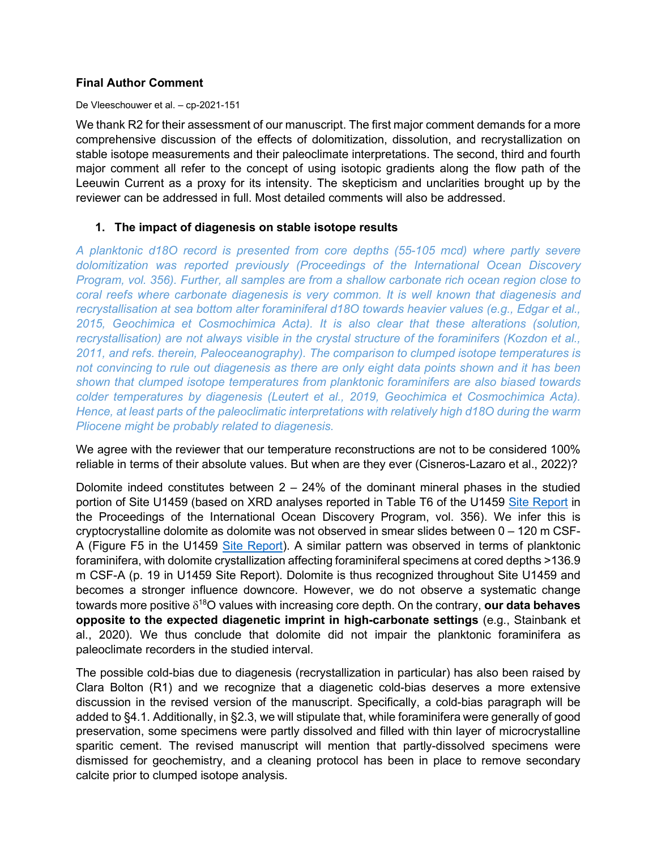## **Final Author Comment**

De Vleeschouwer et al. – cp-2021-151

We thank R2 for their assessment of our manuscript. The first major comment demands for a more comprehensive discussion of the effects of dolomitization, dissolution, and recrystallization on stable isotope measurements and their paleoclimate interpretations. The second, third and fourth major comment all refer to the concept of using isotopic gradients along the flow path of the Leeuwin Current as a proxy for its intensity. The skepticism and unclarities brought up by the reviewer can be addressed in full. Most detailed comments will also be addressed.

## **1. The impact of diagenesis on stable isotope results**

*A planktonic d18O record is presented from core depths (55-105 mcd) where partly severe dolomitization was reported previously (Proceedings of the International Ocean Discovery Program, vol. 356). Further, all samples are from a shallow carbonate rich ocean region close to coral reefs where carbonate diagenesis is very common. It is well known that diagenesis and recrystallisation at sea bottom alter foraminiferal d18O towards heavier values (e.g., Edgar et al., 2015, Geochimica et Cosmochimica Acta). It is also clear that these alterations (solution, recrystallisation) are not always visible in the crystal structure of the foraminifers (Kozdon et al., 2011, and refs. therein, Paleoceanography). The comparison to clumped isotope temperatures is not convincing to rule out diagenesis as there are only eight data points shown and it has been shown that clumped isotope temperatures from planktonic foraminifers are also biased towards colder temperatures by diagenesis (Leutert et al., 2019, Geochimica et Cosmochimica Acta). Hence, at least parts of the paleoclimatic interpretations with relatively high d18O during the warm Pliocene might be probably related to diagenesis.*

We agree with the reviewer that our temperature reconstructions are not to be considered 100% reliable in terms of their absolute values. But when are they ever (Cisneros-Lazaro et al., 2022)?

Dolomite indeed constitutes between  $2 - 24%$  of the dominant mineral phases in the studied portion of Site U1459 (based on XRD analyses reported in Table T6 of the U1459 [Site Report](http://publications.iodp.org/proceedings/356/EXP_REPT/CHAPTERS/356_104.PDF) in the Proceedings of the International Ocean Discovery Program, vol. 356). We infer this is cryptocrystalline dolomite as dolomite was not observed in smear slides between 0 – 120 m CSF-A (Figure F5 in the U1459 [Site Report\)](http://publications.iodp.org/proceedings/356/EXP_REPT/CHAPTERS/356_104.PDF). A similar pattern was observed in terms of planktonic foraminifera, with dolomite crystallization affecting foraminiferal specimens at cored depths >136.9 m CSF-A (p. 19 in U1459 Site Report). Dolomite is thus recognized throughout Site U1459 and becomes a stronger influence downcore. However, we do not observe a systematic change towards more positive δ18O values with increasing core depth. On the contrary, **our data behaves opposite to the expected diagenetic imprint in high-carbonate settings** (e.g., Stainbank et al., 2020). We thus conclude that dolomite did not impair the planktonic foraminifera as paleoclimate recorders in the studied interval.

The possible cold-bias due to diagenesis (recrystallization in particular) has also been raised by Clara Bolton (R1) and we recognize that a diagenetic cold-bias deserves a more extensive discussion in the revised version of the manuscript. Specifically, a cold-bias paragraph will be added to §4.1. Additionally, in §2.3, we will stipulate that, while foraminifera were generally of good preservation, some specimens were partly dissolved and filled with thin layer of microcrystalline sparitic cement. The revised manuscript will mention that partly-dissolved specimens were dismissed for geochemistry, and a cleaning protocol has been in place to remove secondary calcite prior to clumped isotope analysis.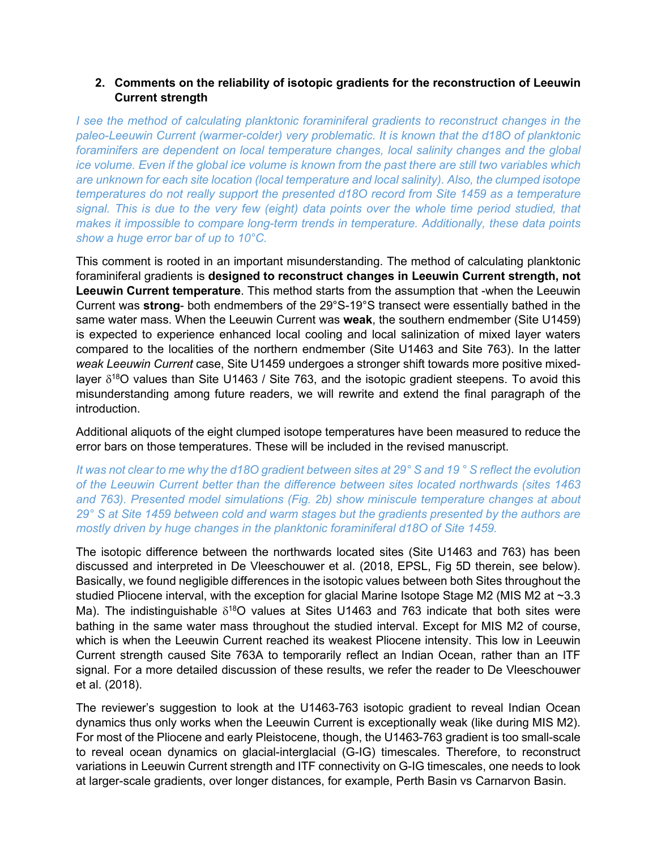# **2. Comments on the reliability of isotopic gradients for the reconstruction of Leeuwin Current strength**

*I see the method of calculating planktonic foraminiferal gradients to reconstruct changes in the paleo-Leeuwin Current (warmer-colder) very problematic. It is known that the d18O of planktonic foraminifers are dependent on local temperature changes, local salinity changes and the global ice volume. Even if the global ice volume is known from the past there are still two variables which are unknown for each site location (local temperature and local salinity). Also, the clumped isotope temperatures do not really support the presented d18O record from Site 1459 as a temperature signal. This is due to the very few (eight) data points over the whole time period studied, that makes it impossible to compare long-term trends in temperature. Additionally, these data points show a huge error bar of up to 10°C.*

This comment is rooted in an important misunderstanding. The method of calculating planktonic foraminiferal gradients is **designed to reconstruct changes in Leeuwin Current strength, not Leeuwin Current temperature**. This method starts from the assumption that -when the Leeuwin Current was **strong**- both endmembers of the 29°S-19°S transect were essentially bathed in the same water mass. When the Leeuwin Current was **weak**, the southern endmember (Site U1459) is expected to experience enhanced local cooling and local salinization of mixed layer waters compared to the localities of the northern endmember (Site U1463 and Site 763). In the latter *weak Leeuwin Current* case, Site U1459 undergoes a stronger shift towards more positive mixedlayer  $\delta^{18}$ O values than Site U1463 / Site 763, and the isotopic gradient steepens. To avoid this misunderstanding among future readers, we will rewrite and extend the final paragraph of the introduction.

Additional aliquots of the eight clumped isotope temperatures have been measured to reduce the error bars on those temperatures. These will be included in the revised manuscript.

*It was not clear to me why the d18O gradient between sites at 29° S and 19 ° S reflect the evolution of the Leeuwin Current better than the difference between sites located northwards (sites 1463 and 763). Presented model simulations (Fig. 2b) show miniscule temperature changes at about 29° S at Site 1459 between cold and warm stages but the gradients presented by the authors are mostly driven by huge changes in the planktonic foraminiferal d18O of Site 1459.*

The isotopic difference between the northwards located sites (Site U1463 and 763) has been discussed and interpreted in De Vleeschouwer et al. (2018, EPSL, Fig 5D therein, see below). Basically, we found negligible differences in the isotopic values between both Sites throughout the studied Pliocene interval, with the exception for glacial Marine Isotope Stage M2 (MIS M2 at ~3.3 Ma). The indistinguishable  $\delta^{18}O$  values at Sites U1463 and 763 indicate that both sites were bathing in the same water mass throughout the studied interval. Except for MIS M2 of course, which is when the Leeuwin Current reached its weakest Pliocene intensity. This low in Leeuwin Current strength caused Site 763A to temporarily reflect an Indian Ocean, rather than an ITF signal. For a more detailed discussion of these results, we refer the reader to De Vleeschouwer et al. (2018).

The reviewer's suggestion to look at the U1463-763 isotopic gradient to reveal Indian Ocean dynamics thus only works when the Leeuwin Current is exceptionally weak (like during MIS M2). For most of the Pliocene and early Pleistocene, though, the U1463-763 gradient is too small-scale to reveal ocean dynamics on glacial-interglacial (G-IG) timescales. Therefore, to reconstruct variations in Leeuwin Current strength and ITF connectivity on G-IG timescales, one needs to look at larger-scale gradients, over longer distances, for example, Perth Basin vs Carnarvon Basin.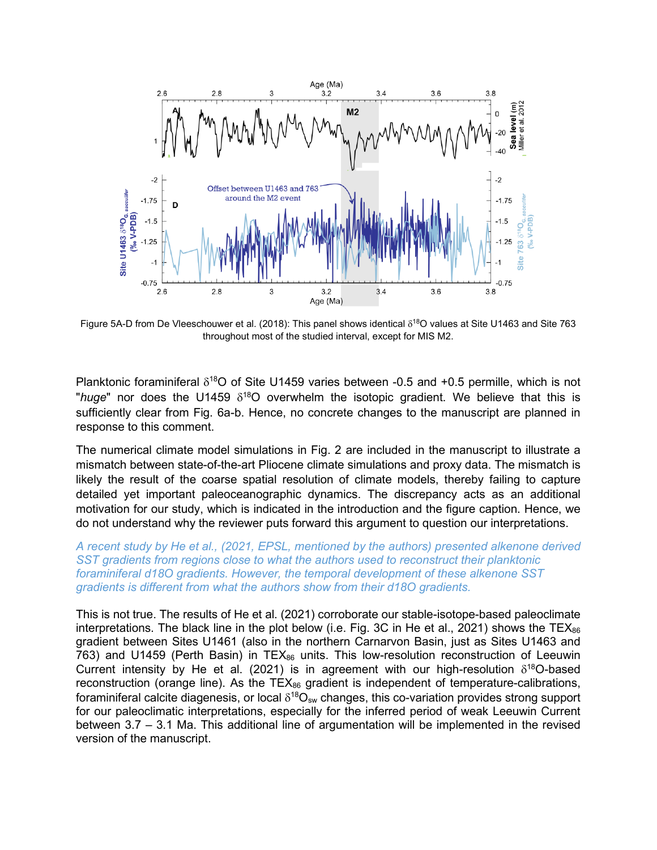

Figure 5A-D from De Vleeschouwer et al. (2018): This panel shows identical  $δ<sup>18</sup>O$  values at Site U1463 and Site 763 throughout most of the studied interval, except for MIS M2.

Planktonic foraminiferal  $\delta^{18}O$  of Site U1459 varies between -0.5 and +0.5 permille, which is not "*huge*" nor does the U1459  $\delta^{18}$ O overwhelm the isotopic gradient. We believe that this is sufficiently clear from Fig. 6a-b. Hence, no concrete changes to the manuscript are planned in response to this comment.

The numerical climate model simulations in Fig. 2 are included in the manuscript to illustrate a mismatch between state-of-the-art Pliocene climate simulations and proxy data. The mismatch is likely the result of the coarse spatial resolution of climate models, thereby failing to capture detailed yet important paleoceanographic dynamics. The discrepancy acts as an additional motivation for our study, which is indicated in the introduction and the figure caption. Hence, we do not understand why the reviewer puts forward this argument to question our interpretations.

#### *A recent study by He et al., (2021, EPSL, mentioned by the authors) presented alkenone derived SST gradients from regions close to what the authors used to reconstruct their planktonic foraminiferal d18O gradients. However, the temporal development of these alkenone SST gradients is different from what the authors show from their d18O gradients.*

This is not true. The results of He et al. (2021) corroborate our stable-isotope-based paleoclimate interpretations. The black line in the plot below (i.e. Fig. 3C in He et al., 2021) shows the TEX $_{86}$ gradient between Sites U1461 (also in the northern Carnarvon Basin, just as Sites U1463 and 763) and U1459 (Perth Basin) in  $TEX_{86}$  units. This low-resolution reconstruction of Leeuwin Current intensity by He et al. (2021) is in agreement with our high-resolution  $\delta^{18}$ O-based reconstruction (orange line). As the  $TEX_{86}$  gradient is independent of temperature-calibrations, foraminiferal calcite diagenesis, or local  $\delta^{18}O_{sw}$  changes, this co-variation provides strong support for our paleoclimatic interpretations, especially for the inferred period of weak Leeuwin Current between 3.7 – 3.1 Ma. This additional line of argumentation will be implemented in the revised version of the manuscript.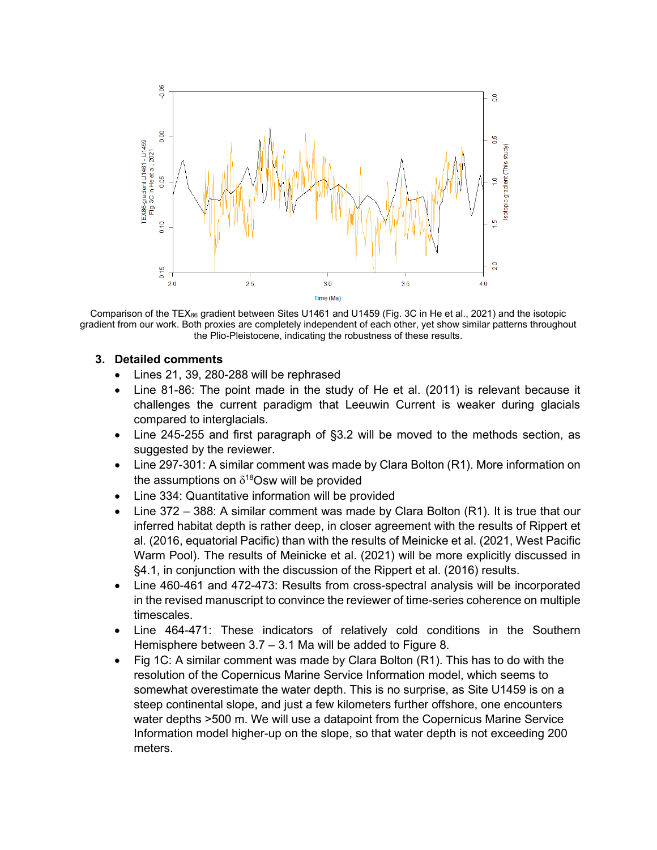

Comparison of the TEX86 gradient between Sites U1461 and U1459 (Fig. 3C in He et al., 2021) and the isotopic gradient from our work. Both proxies are completely independent of each other, yet show similar patterns throughout the Plio-Pleistocene, indicating the robustness of these results.

### **3. Detailed comments**

- Lines 21, 39, 280-288 will be rephrased
- Line 81-86: The point made in the study of He et al. (2011) is relevant because it challenges the current paradigm that Leeuwin Current is weaker during glacials compared to interglacials.
- Line 245-255 and first paragraph of §3.2 will be moved to the methods section, as suggested by the reviewer.
- Line 297-301: A similar comment was made by Clara Bolton (R1). More information on the assumptions on  $\delta^{18}$ Osw will be provided
- Line 334: Quantitative information will be provided
- Line 372 388: A similar comment was made by Clara Bolton (R1). It is true that our inferred habitat depth is rather deep, in closer agreement with the results of Rippert et al. (2016, equatorial Pacific) than with the results of Meinicke et al. (2021, West Pacific Warm Pool). The results of Meinicke et al. (2021) will be more explicitly discussed in §4.1, in conjunction with the discussion of the Rippert et al. (2016) results.
- Line 460-461 and 472-473: Results from cross-spectral analysis will be incorporated in the revised manuscript to convince the reviewer of time-series coherence on multiple timescales.
- Line 464-471: These indicators of relatively cold conditions in the Southern Hemisphere between 3.7 – 3.1 Ma will be added to Figure 8.
- Fig 1C: A similar comment was made by Clara Bolton (R1). This has to do with the resolution of the Copernicus Marine Service Information model, which seems to somewhat overestimate the water depth. This is no surprise, as Site U1459 is on a steep continental slope, and just a few kilometers further offshore, one encounters water depths >500 m. We will use a datapoint from the Copernicus Marine Service Information model higher-up on the slope, so that water depth is not exceeding 200 meters.